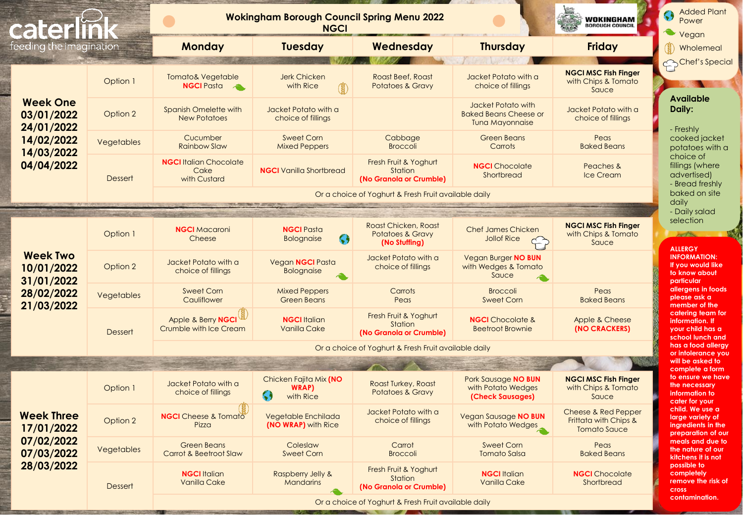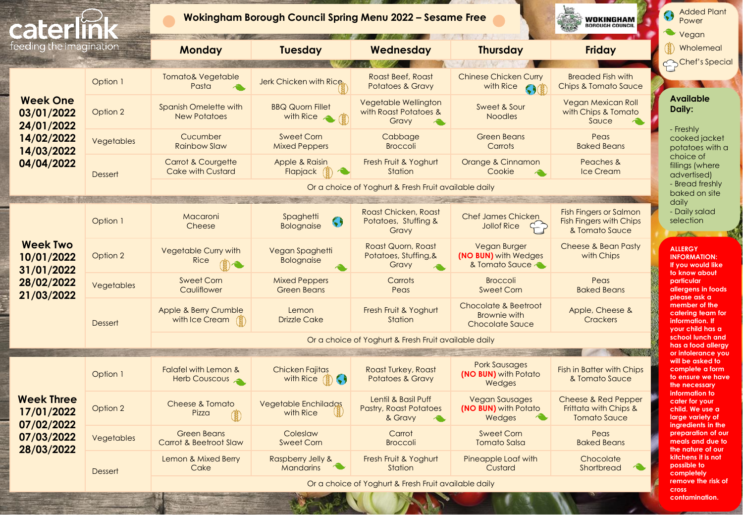

**contamination.**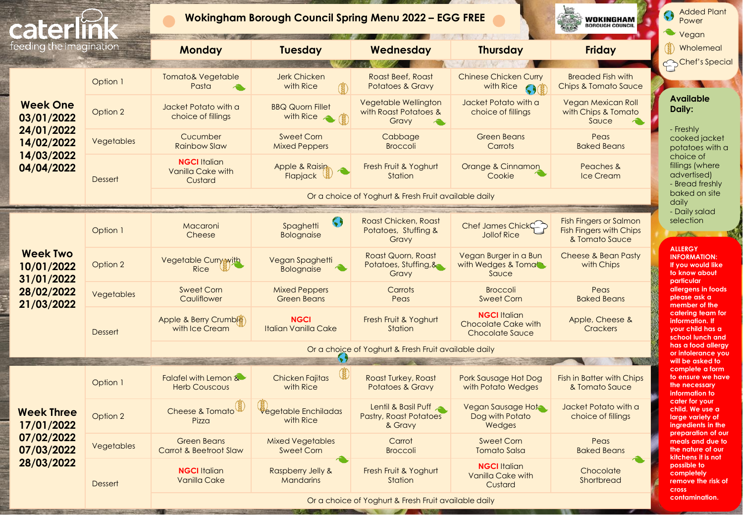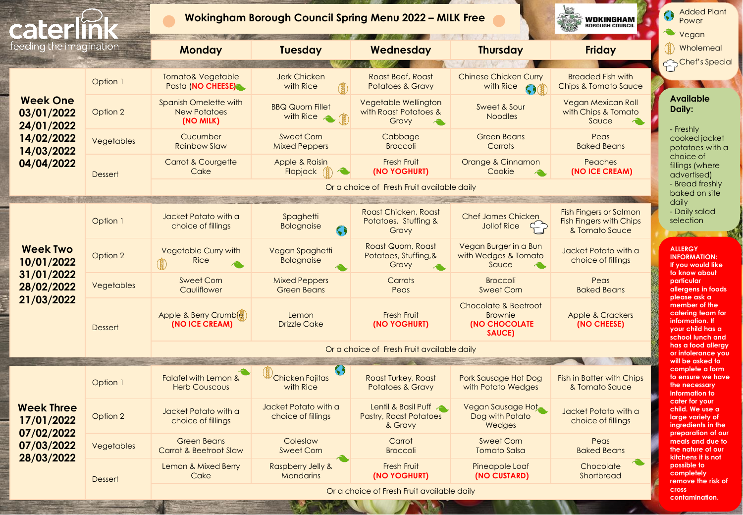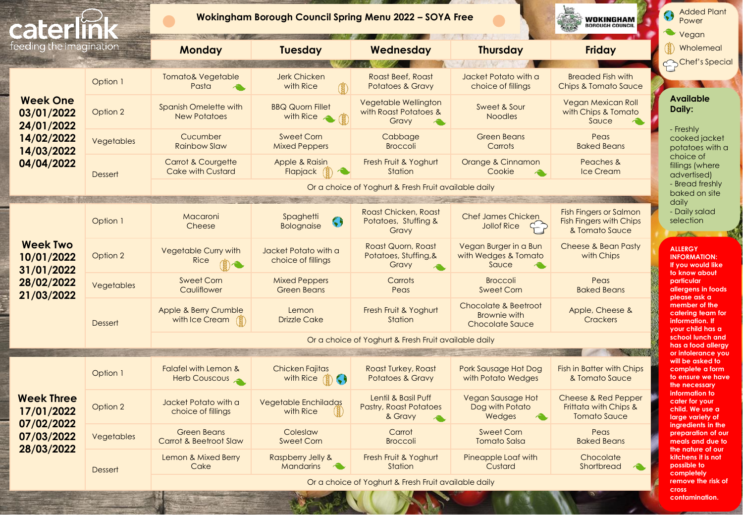

**cross contamination.**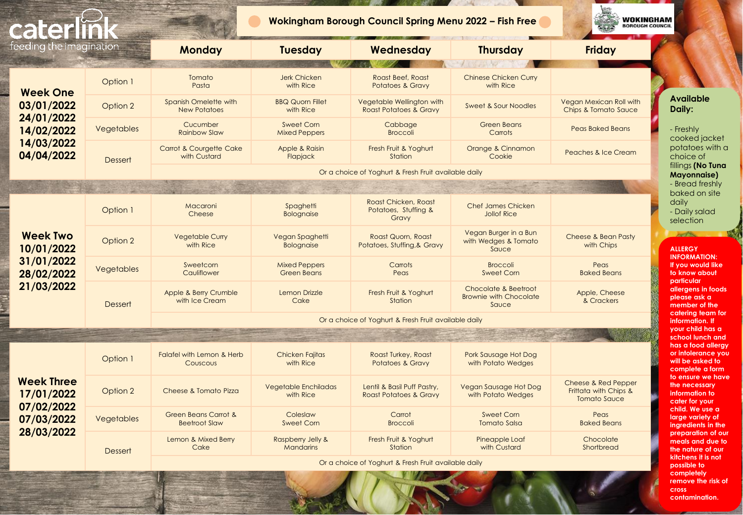| Ee                                                                                    |                | Wokingham Borough Council Spring Menu 2022 - Fish Free  |                                            |                                                                |                                                                |                                                                     | <b>WOKINGHAM</b><br><b>BOROUGH COUNCIL</b>                                                                                                                                                                             |  |
|---------------------------------------------------------------------------------------|----------------|---------------------------------------------------------|--------------------------------------------|----------------------------------------------------------------|----------------------------------------------------------------|---------------------------------------------------------------------|------------------------------------------------------------------------------------------------------------------------------------------------------------------------------------------------------------------------|--|
| feeding the imagination                                                               |                | <b>Monday</b>                                           | <b>Tuesday</b>                             | Wednesday                                                      | <b>Thursday</b>                                                | <b>Friday</b>                                                       |                                                                                                                                                                                                                        |  |
| <b>Week One</b><br>03/01/2022<br>24/01/2022<br>14/02/2022<br>14/03/2022<br>04/04/2022 | Option 1       | Tomato<br>Pasta                                         | <b>Jerk Chicken</b><br>with Rice           | Roast Beef, Roast<br><b>Potatoes &amp; Gravy</b>               | <b>CONTRACTOR</b><br><b>Chinese Chicken Curry</b><br>with Rice |                                                                     | <b>Available</b><br>Daily:<br>- Freshly<br>cooked jacket                                                                                                                                                               |  |
|                                                                                       | Option 2       | Spanish Omelette with<br><b>New Potatoes</b>            | <b>BBQ Quorn Fillet</b><br>with Rice       | Vegetable Wellington with<br><b>Roast Potatoes &amp; Gravy</b> | <b>Sweet &amp; Sour Noodles</b>                                | Vegan Mexican Roll with<br><b>Chips &amp; Tomato Sauce</b>          |                                                                                                                                                                                                                        |  |
|                                                                                       | Vegetables     | Cucumber<br><b>Rainbow Slaw</b>                         | Sweet Corn<br><b>Mixed Peppers</b>         | Cabbage<br><b>Broccoli</b>                                     | <b>Green Beans</b><br>Carrots                                  | <b>Peas Baked Beans</b>                                             |                                                                                                                                                                                                                        |  |
|                                                                                       | <b>Dessert</b> | Carrot & Courgette Cake<br>with Custard                 | Apple & Raisin<br>Flapjack                 | Fresh Fruit & Yoghurt<br>Station                               | Orange & Cinnamon<br>Cookie                                    | <b>Peaches &amp; Ice Cream</b>                                      | potatoes with a<br>choice of                                                                                                                                                                                           |  |
|                                                                                       |                | Or a choice of Yoghurt & Fresh Fruit available daily    |                                            |                                                                |                                                                |                                                                     | fillings (No Tuna<br><b>Mayonnaise</b> )                                                                                                                                                                               |  |
|                                                                                       |                | - Bread freshly                                         |                                            |                                                                |                                                                |                                                                     |                                                                                                                                                                                                                        |  |
| <b>Week Two</b><br>10/01/2022<br>31/01/2022<br>28/02/2022<br>21/03/2022               | Option 1       | Macaroni<br>Cheese                                      | Spaghetti<br><b>Bolognaise</b>             | Roast Chicken, Roast<br>Potatoes, Stuffing &<br>Gravy          | <b>Chef James Chicken</b><br><b>Jollof Rice</b>                |                                                                     | baked on site<br>daily<br>- Daily salad<br>selection<br>استد<br><b>ALLERGY</b><br><b>INFORMATION:</b><br>If you would like<br>to know about                                                                            |  |
|                                                                                       | Option 2       | <b>Vegetable Curry</b><br>with Rice                     | Vegan Spaghetti<br><b>Bolognaise</b>       | Roast Quorn, Roast<br>Potatoes, Stuffing, & Gravy              | Vegan Burger in a Bun<br>with Wedges & Tomato<br>Sauce         | <b>Cheese &amp; Bean Pasty</b><br>with Chips                        |                                                                                                                                                                                                                        |  |
|                                                                                       | Vegetables     | Sweetcorn<br>Cauliflower                                | <b>Mixed Peppers</b><br><b>Green Beans</b> | Carrots<br>Peas                                                | <b>Broccoli</b><br><b>Sweet Corn</b>                           | Peas<br><b>Baked Beans</b>                                          |                                                                                                                                                                                                                        |  |
|                                                                                       | <b>Dessert</b> | Apple & Berry Crumble<br>with Ice Cream                 | Lemon Drizzle<br>Cake                      | Fresh Fruit & Yoghurt<br>Station                               | Chocolate & Beetroot<br><b>Brownie with Chocolate</b><br>Sauce | Apple, Cheese<br>& Crackers                                         | particular<br>allergens in foods<br>please ask a<br>member of the                                                                                                                                                      |  |
|                                                                                       |                | Or a choice of Yoghurt & Fresh Fruit available daily    |                                            |                                                                |                                                                |                                                                     | catering team for<br>information. If                                                                                                                                                                                   |  |
|                                                                                       |                |                                                         |                                            |                                                                |                                                                |                                                                     | your child has a<br>school lunch and                                                                                                                                                                                   |  |
| <b>Week Three</b><br>17/01/2022<br>07/02/2022<br>07/03/2022<br>28/03/2022             | Option 1       | Falafel with Lemon & Herb<br>Couscous                   | <b>Chicken Fajitas</b><br>with Rice        | Roast Turkey, Roast<br>Potatoes & Gravy                        | Pork Sausage Hot Dog<br>with Potato Wedges                     |                                                                     | has a food allergy<br>or infolerance you<br>will be asked to<br>complete a form<br>to ensure we have<br>the necessary<br>information to<br>cater for your<br>child. We use a<br>large variety of<br>ingredients in the |  |
|                                                                                       | Option 2       | Cheese & Tomato Pizza                                   | Vegetable Enchiladas<br>with Rice          | Lentil & Basil Puff Pastry,<br>Roast Potatoes & Gravy          | Vegan Sausage Hot Dog<br>with Potato Wedges                    | Cheese & Red Pepper<br>Frittata with Chips &<br><b>Tomato Sauce</b> |                                                                                                                                                                                                                        |  |
|                                                                                       | Vegetables     | <b>Green Beans Carrot &amp;</b><br><b>Beetroot Slaw</b> | Coleslaw<br><b>Sweet Corn</b>              | Carrot<br><b>Broccoli</b>                                      | Sweet Corn<br><b>Tomato Salsa</b>                              | Peas<br><b>Baked Beans</b>                                          |                                                                                                                                                                                                                        |  |
|                                                                                       | <b>Dessert</b> | Lemon & Mixed Berry<br>Cake                             | Raspberry Jelly &<br><b>Mandarins</b>      | Fresh Fruit & Yoghurt<br>Station                               | Pineapple Loaf<br>with Custard                                 | Chocolate<br>Shortbread                                             | preparation of our<br>meals and due to<br>the nature of our                                                                                                                                                            |  |
|                                                                                       |                | Or a choice of Yoghurt & Fresh Fruit available daily    |                                            |                                                                |                                                                |                                                                     | kitchens it is not<br>possible to                                                                                                                                                                                      |  |

**completely remove the risk of cross contamination.**